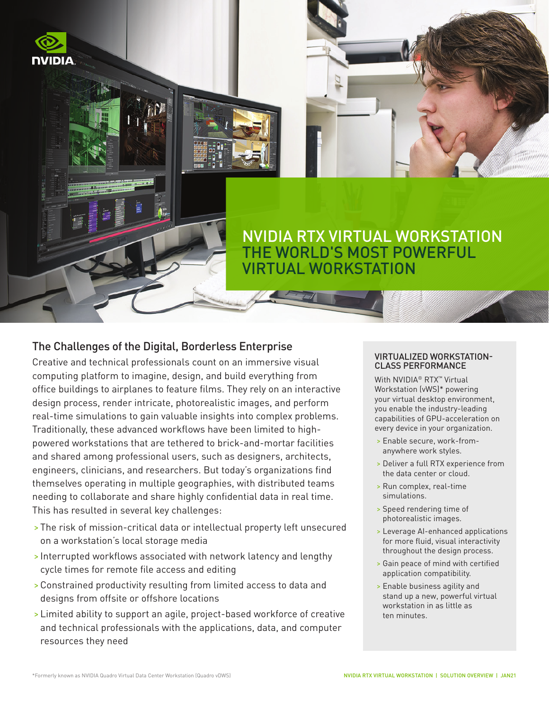

# NVIDIA RTX VIRTUAL WORKSTATION **HE WORLD'S MOST POWERFUL** VIRTUAL WORKSTATION

## The Challenges of the Digital, Borderless Enterprise

Creative and technical professionals count on an immersive visual computing platform to imagine, design, and build everything from office buildings to airplanes to feature films. They rely on an interactive design process, render intricate, photorealistic images, and perform real-time simulations to gain valuable insights into complex problems. Traditionally, these advanced workflows have been limited to highpowered workstations that are tethered to brick-and-mortar facilities and shared among professional users, such as designers, architects, engineers, clinicians, and researchers. But today's organizations find themselves operating in multiple geographies, with distributed teams needing to collaborate and share highly confidential data in real time. This has resulted in several key challenges:

- > The risk of mission-critical data or intellectual property left unsecured on a workstation's local storage media
- > Interrupted workflows associated with network latency and lengthy cycle times for remote file access and editing
- >Constrained productivity resulting from limited access to data and designs from offsite or offshore locations
- > Limited ability to support an agile, project-based workforce of creative and technical professionals with the applications, data, and computer resources they need

### VIRTUALIZED WORKSTATION-CLASS PERFORMANCE

With NVIDIA<sup>®</sup> RTX<sup>™</sup> Virtual Workstation (vWS)\* powering your virtual desktop environment, you enable the industry-leading capabilities of GPU-acceleration on every device in your organization.

- > Enable secure, work-fromanywhere work styles.
- > Deliver a full RTX experience from the data center or cloud.
- > Run complex, real-time simulations.
- > Speed rendering time of photorealistic images.
- > Leverage AI-enhanced applications for more fluid, visual interactivity throughout the design process.
- > Gain peace of mind with certified application compatibility.
- > Enable business agility and stand up a new, powerful virtual workstation in as little as ten minutes.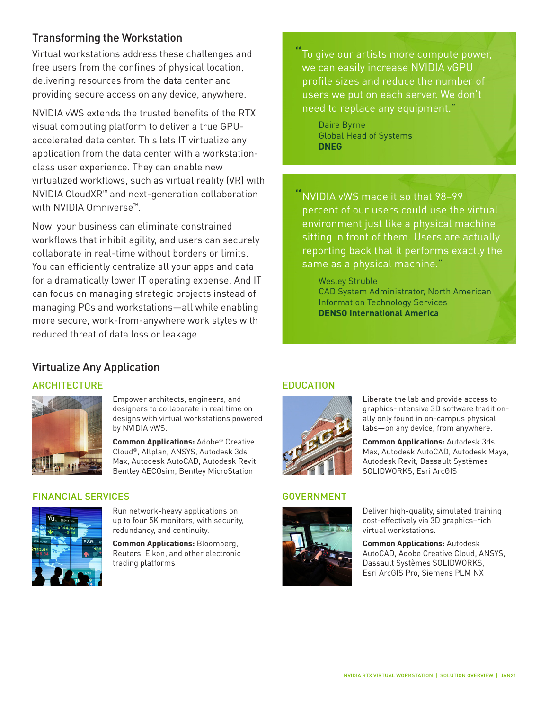## Transforming the Workstation

Virtual workstations address these challenges and free users from the confines of physical location, delivering resources from the data center and providing secure access on any device, anywhere.

NVIDIA vWS extends the trusted benefits of the RTX visual computing platform to deliver a true GPUaccelerated data center. This lets IT virtualize any application from the data center with a workstationclass user experience. They can enable new virtualized workflows, such as virtual reality (VR) with NVIDIA CloudXR™ and next-generation collaboration with NVIDIA Omniverse™.

Now, your business can eliminate constrained workflows that inhibit agility, and users can securely collaborate in real-time without borders or limits. You can efficiently centralize all your apps and data for a dramatically lower IT operating expense. And IT can focus on managing strategic projects instead of managing PCs and workstations—all while enabling more secure, work-from-anywhere work styles with reduced threat of data loss or leakage.

To give our artists more compute power, we can easily increase NVIDIA vGPU profile sizes and reduce the number of users we put on each server. We don't need to replace any equipment."

Daire Byrne Global Head of Systems **DNEG**

"NVIDIA vWS made it so that 98–99 percent of our users could use the virtual environment just like a physical machine sitting in front of them. Users are actually reporting back that it performs exactly the same as a physical machine."

> Wesley Struble CAD System Administrator, North American Information Technology Services **[DENSO International America](https://images.nvidia.com/content/pdf/grid/success-story/denso.pdf)**

## Virtualize Any Application

## ARCHITECTURE **EDUCATION**



Empower architects, engineers, and designers to collaborate in real time on designs with virtual workstations powered by NVIDIA vWS.

**Common Applications:** Adobe® Creative Cloud®, Allplan, ANSYS, Autodesk 3ds Max, Autodesk AutoCAD, Autodesk Revit, Bentley AECOsim, Bentley MicroStation

### FINANCIAL SERVICES GOVERNMENT



Run network-heavy applications on up to four 5K monitors, with security, redundancy, and continuity.

**Common Applications:** Bloomberg, Reuters, Eikon, and other electronic trading platforms



Liberate the lab and provide access to graphics-intensive 3D software traditionally only found in on-campus physical labs—on any device, from anywhere.

**Common Applications:** Autodesk 3ds Max, Autodesk AutoCAD, Autodesk Maya, Autodesk Revit, Dassault Systèmes SOLIDWORKS, Esri ArcGIS



Deliver high-quality, simulated training cost-effectively via 3D graphics–rich virtual workstations.

**Common Applications:** Autodesk AutoCAD, Adobe Creative Cloud, ANSYS, Dassault Systèmes SOLIDWORKS, Esri ArcGIS Pro, Siemens PLM NX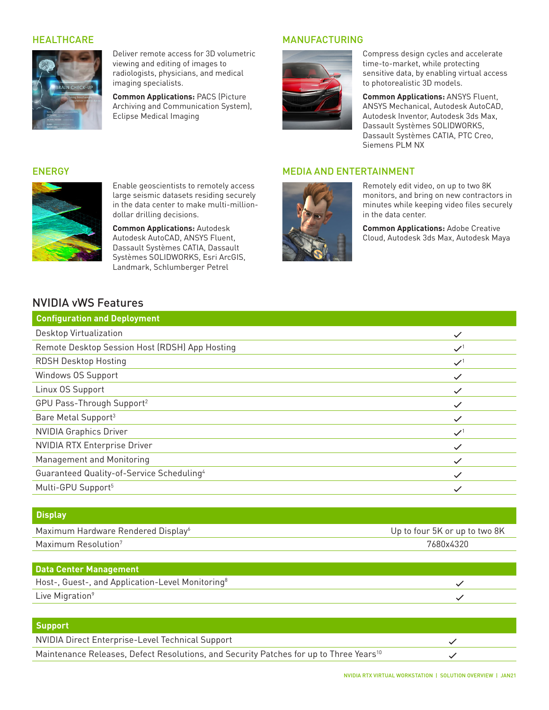

Deliver remote access for 3D volumetric viewing and editing of images to radiologists, physicians, and medical imaging specialists.

**Common Applications:** PACS (Picture Archiving and Communication System), Eclipse Medical Imaging

### HEALTHCARE MANUFACTURING



Compress design cycles and accelerate time-to-market, while protecting sensitive data, by enabling virtual access to photorealistic 3D models.

**Common Applications:** ANSYS Fluent, ANSYS Mechanical, Autodesk AutoCAD, Autodesk Inventor, Autodesk 3ds Max, Dassault Systèmes SOLIDWORKS, Dassault Systèmes CATIA, PTC Creo, Siemens PLM NX

### ENERGY MEDIA AND ENTERTAINMENT



Remotely edit video, on up to two 8K monitors, and bring on new contractors in minutes while keeping video files securely in the data center.

**Common Applications:** Adobe Creative Cloud, Autodesk 3ds Max, Autodesk Maya



Enable geoscientists to remotely access large seismic datasets residing securely in the data center to make multi-milliondollar drilling decisions.

**Common Applications:** Autodesk Autodesk AutoCAD, ANSYS Fluent, Dassault Systèmes CATIA, Dassault Systèmes SOLIDWORKS, Esri ArcGIS, Landmark, Schlumberger Petrel

## NVIDIA vWS Features

| <b>Configuration and Deployment</b>                   |                 |
|-------------------------------------------------------|-----------------|
| Desktop Virtualization                                |                 |
| Remote Desktop Session Host (RDSH) App Hosting        | $\checkmark$    |
| <b>RDSH Desktop Hosting</b>                           | $\mathcal{S}^1$ |
| Windows OS Support                                    | $\checkmark$    |
| Linux OS Support                                      | $\checkmark$    |
| GPU Pass-Through Support <sup>2</sup>                 | $\checkmark$    |
| Bare Metal Support <sup>3</sup>                       |                 |
| <b>NVIDIA Graphics Driver</b>                         | $\mathcal{S}^1$ |
| <b>NVIDIA RTX Enterprise Driver</b>                   | $\checkmark$    |
| Management and Monitoring                             |                 |
| Guaranteed Quality-of-Service Scheduling <sup>4</sup> |                 |
| Multi-GPU Support <sup>5</sup>                        |                 |

| <b>Display</b>                                 |                               |
|------------------------------------------------|-------------------------------|
| Maximum Hardware Rendered Display <sup>6</sup> | Up to four 5K or up to two 8K |
| Maximum Resolution <sup>7</sup>                | 7680x4320                     |
|                                                |                               |

| Data Center Management                                       |  |
|--------------------------------------------------------------|--|
| Host-, Guest-, and Application-Level Monitoring <sup>8</sup> |  |
| Live Migration <sup>9</sup>                                  |  |

### **Support**

NVIDIA Direct Enterprise-Level Technical Support Maintenance Releases, Defect Resolutions, and Security Patches for up to Three Years<sup>10</sup>